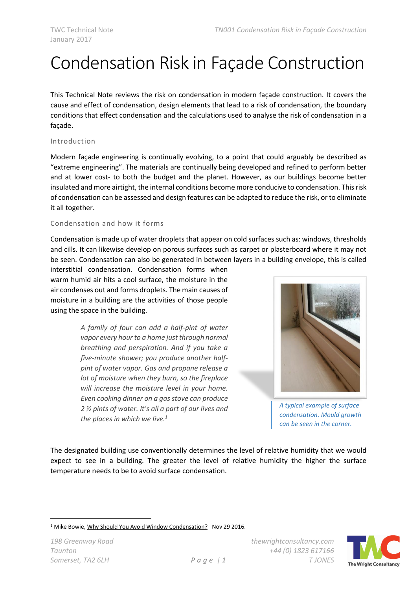# Condensation Risk in Façade Construction

This Technical Note reviews the risk on condensation in modern façade construction. It covers the cause and effect of condensation, design elements that lead to a risk of condensation, the boundary conditions that effect condensation and the calculations used to analyse the risk of condensation in a façade.

## Introduction

Modern façade engineering is continually evolving, to a point that could arguably be described as "extreme engineering". The materials are continually being developed and refined to perform better and at lower cost- to both the budget and the planet. However, as our buildings become better insulated and more airtight, the internal conditions become more conducive to condensation. This risk of condensation can be assessed and design features can be adapted to reduce the risk, or to eliminate it all together.

### Condensation and how it forms

Condensation is made up of water droplets that appear on cold surfaces such as: windows, thresholds and cills. It can likewise develop on porous surfaces such as carpet or plasterboard where it may not be seen. Condensation can also be generated in between layers in a building envelope, this is called

interstitial condensation. Condensation forms when warm humid air hits a cool surface, the moisture in the air condenses out and forms droplets. The main causes of moisture in a building are the activities of those people using the space in the building.

> *A family of four can add a half-pint of water vapor every hour to a home just through normal breathing and perspiration. And if you take a five-minute shower; you produce another halfpint of water vapor. Gas and propane release a lot of moisture when they burn, so the fireplace will increase the moisture level in your home. Even cooking dinner on a gas stove can produce 2 ½ pints of water. It's all a part of our lives and the places in which we live.<sup>1</sup>*



*A typical example of surface condensation. Mould growth can be seen in the corner.*

The designated building use conventionally determines the level of relative humidity that we would expect to see in a building. The greater the level of relative humidity the higher the surface temperature needs to be to avoid surface condensation.

**.** 



<sup>&</sup>lt;sup>1</sup> Mike Bowie, Why Should You Avoid Window Condensation? Nov 29 2016.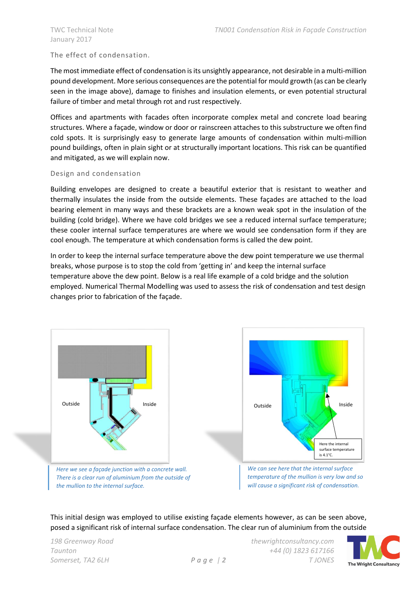# The effect of condensation.

The most immediate effect of condensation is its unsightly appearance, not desirable in a multi-million pound development. More serious consequences are the potential for mould growth (as can be clearly seen in the image above), damage to finishes and insulation elements, or even potential structural failure of timber and metal through rot and rust respectively.

Offices and apartments with facades often incorporate complex metal and concrete load bearing structures. Where a façade, window or door or rainscreen attaches to this substructure we often find cold spots. It is surprisingly easy to generate large amounts of condensation within multi-million pound buildings, often in plain sight or at structurally important locations. This risk can be quantified and mitigated, as we will explain now.

### Design and condensation

Building envelopes are designed to create a beautiful exterior that is resistant to weather and thermally insulates the inside from the outside elements. These façades are attached to the load bearing element in many ways and these brackets are a known weak spot in the insulation of the building (cold bridge). Where we have cold bridges we see a reduced internal surface temperature; these cooler internal surface temperatures are where we would see condensation form if they are cool enough. The temperature at which condensation forms is called the dew point.

In order to keep the internal surface temperature above the dew point temperature we use thermal breaks, whose purpose is to stop the cold from 'getting in' and keep the internal surface temperature above the dew point. Below is a real life example of a cold bridge and the solution employed. Numerical Thermal Modelling was used to assess the risk of condensation and test design changes prior to fabrication of the façade.





*There is a clear run of aluminium from the outside of the mullion to the internal surface.*

*We can see here that the internal surface temperature of the mullion is very low and so will cause a significant risk of condensation.*

This initial design was employed to utilise existing façade elements however, as can be seen above, posed a significant risk of internal surface condensation. The clear run of aluminium from the outside

*198 Greenway Road thewrightconsultancy.com Taunton +44 (0) 1823 617166 Somerset, TA2 6LH P a g e | 2 T JONES*

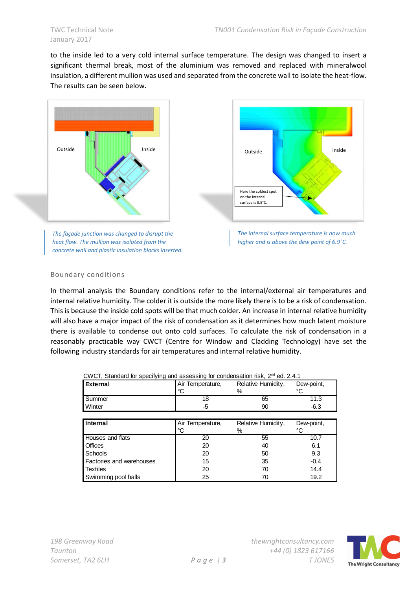to the inside led to a very cold internal surface temperature. The design was changed to insert a significant thermal break, most of the aluminium was removed and replaced with mineralwool insulation, a different mullion was used and separated from the concrete wall to isolate the heat-flow. The results can be seen below.



*The façade junction was changed to disrupt the heat flow. The mullion was isolated from the concrete wall and plastic insulation blocks inserted.*





## Boundary conditions

In thermal analysis the Boundary conditions refer to the internal/external air temperatures and internal relative humidity. The colder it is outside the more likely there is to be a risk of condensation. This is because the inside cold spots will be that much colder. An increase in internal relative humidity will also have a major impact of the risk of condensation as it determines how much latent moisture there is available to condense out onto cold surfaces. To calculate the risk of condensation in a reasonably practicable way CWCT (Centre for Window and Cladding Technology) have set the following industry standards for air temperatures and internal relative humidity.

CWCT, Standard for specifying and assessing for condensation risk, 2nd ed. 2.4.1

| $CovCI$ , Standard for Specifying and assessing for condensation risk, $Z = \theta G$ . 2.4. For |                  |                    |            |
|--------------------------------------------------------------------------------------------------|------------------|--------------------|------------|
| <b>External</b>                                                                                  | Air Temperature, | Relative Humidity, | Dew-point, |
|                                                                                                  | °C               | ℅                  | °C         |
| Summer                                                                                           | 18               | 65                 | 11.3       |
| Winter                                                                                           | -5               | 90                 | $-6.3$     |
|                                                                                                  |                  |                    |            |
| Internal                                                                                         | Air Temperature, | Relative Humidity, | Dew-point, |
|                                                                                                  | $^{\circ}C$      | %                  | °C         |
| Houses and flats                                                                                 | 20               | 55                 | 10.7       |
| <b>Offices</b>                                                                                   | 20               | 40                 | 6.1        |
| <b>Schools</b>                                                                                   | 20               | 50                 | 9.3        |
| Factories and warehouses                                                                         | 15               | 35                 | $-0.4$     |
| <b>Textiles</b>                                                                                  | 20               | 70                 | 14.4       |
| Swimming pool halls                                                                              | 25               | 70                 | 19.2       |